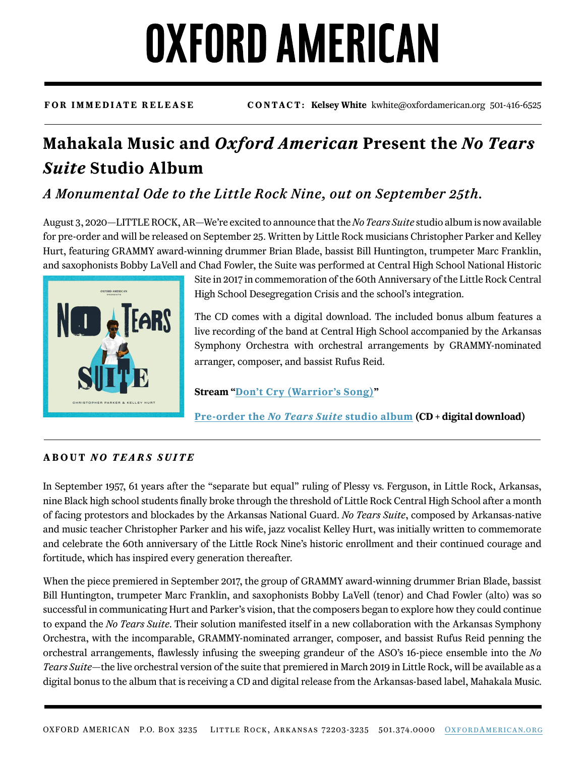## OXFORD AMERICAN

**FOR IMMEDIATE RELEASE CONTACT: Kelsey White** kwhite@oxfordamerican.org 501-416-6525

### **Mahakala Music and** *Oxford American* **Present the** *No Tears Suite* **Studio Album**

### *A Monumental Ode to the Little Rock Nine, out on September 25th.*

August 3, 2020—LITTLE ROCK, AR—We're excited to announce that the *No Tears Suite* studio album is now available for pre-order and will be released on September 25. Written by Little Rock musicians Christopher Parker and Kelley Hurt, featuring GRAMMY award-winning drummer Brian Blade, bassist Bill Huntington, trumpeter Marc Franklin, and saxophonists Bobby LaVell and Chad Fowler, the Suite was performed at Central High School National Historic



Site in 2017 in commemoration of the 60th Anniversary of the Little Rock Central High School Desegregation Crisis and the school's integration.

The CD comes with a digital download. The included bonus album features a live recording of the band at Central High School accompanied by the Arkansas Symphony Orchestra with orchestral arrangements by GRAMMY-nominated arranger, composer, and bassist Rufus Reid.

**Stream "[Don't Cry \(Warrior's Song\)](https://www.youtube.com/watch?v=3dcjUwXApto&feature=youtu.be)"**

**Pre-order the** *[No Tears Suite](https://www.oxfordamericangoods.org/collections/good-listening/products/no-tears-suite-cd)* **studio album (CD + digital download)**

#### **ABOUT** *NO TEARS SUITE*

In September 1957, 61 years after the "separate but equal" ruling of Plessy vs. Ferguson, in Little Rock, Arkansas, nine Black high school students finally broke through the threshold of Little Rock Central High School after a month of facing protestors and blockades by the Arkansas National Guard. *No Tears Suite*, composed by Arkansas-native and music teacher Christopher Parker and his wife, jazz vocalist Kelley Hurt, was initially written to commemorate and celebrate the 60th anniversary of the Little Rock Nine's historic enrollment and their continued courage and fortitude, which has inspired every generation thereafter.

When the piece premiered in September 2017, the group of GRAMMY award-winning drummer Brian Blade, bassist Bill Huntington, trumpeter Marc Franklin, and saxophonists Bobby LaVell (tenor) and Chad Fowler (alto) was so successful in communicating Hurt and Parker's vision, that the composers began to explore how they could continue to expand the *No Tears Suite*. Their solution manifested itself in a new collaboration with the Arkansas Symphony Orchestra, with the incomparable, GRAMMY-nominated arranger, composer, and bassist Rufus Reid penning the orchestral arrangements, flawlessly infusing the sweeping grandeur of the ASO's 16-piece ensemble into the *No Tears Suite*—the live orchestral version of the suite that premiered in March 2019 in Little Rock, will be available as a digital bonus to the album that is receiving a CD and digital release from the Arkansas-based label, Mahakala Music.